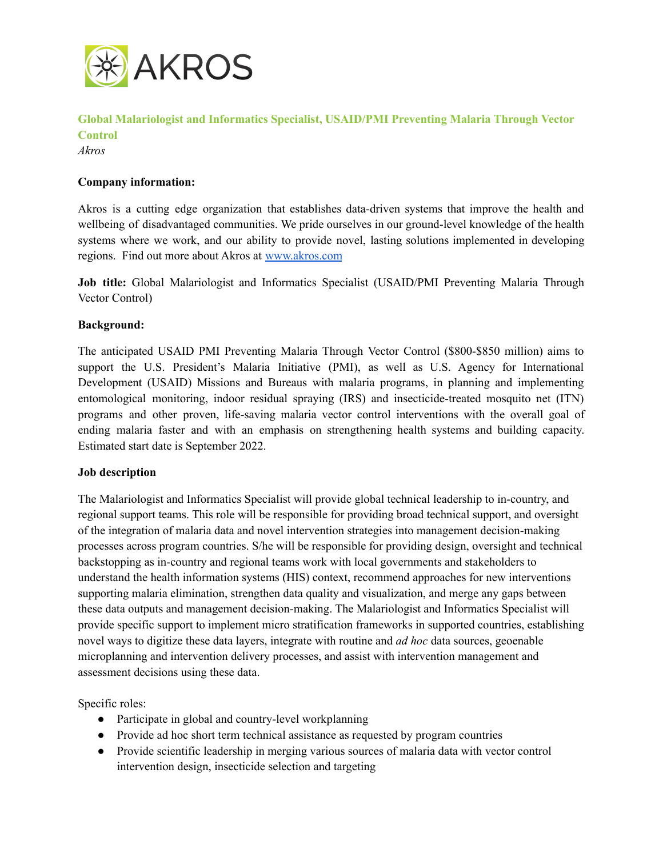

**Global Malariologist and Informatics Specialist, USAID/PMI Preventing Malaria Through Vector Control**

*Akros*

### **Company information:**

Akros is a cutting edge organization that establishes data-driven systems that improve the health and wellbeing of disadvantaged communities. We pride ourselves in our ground-level knowledge of the health systems where we work, and our ability to provide novel, lasting solutions implemented in developing regions. Find out more about Akros at [www.akros.com](http://www.akros.com)

**Job title:** Global Malariologist and Informatics Specialist (USAID/PMI Preventing Malaria Through Vector Control)

### **Background:**

The anticipated USAID PMI Preventing Malaria Through Vector Control (\$800-\$850 million) aims to support the U.S. President's Malaria Initiative (PMI), as well as U.S. Agency for International Development (USAID) Missions and Bureaus with malaria programs, in planning and implementing entomological monitoring, indoor residual spraying (IRS) and insecticide-treated mosquito net (ITN) programs and other proven, life-saving malaria vector control interventions with the overall goal of ending malaria faster and with an emphasis on strengthening health systems and building capacity. Estimated start date is September 2022.

### **Job description**

The Malariologist and Informatics Specialist will provide global technical leadership to in-country, and regional support teams. This role will be responsible for providing broad technical support, and oversight of the integration of malaria data and novel intervention strategies into management decision-making processes across program countries. S/he will be responsible for providing design, oversight and technical backstopping as in-country and regional teams work with local governments and stakeholders to understand the health information systems (HIS) context, recommend approaches for new interventions supporting malaria elimination, strengthen data quality and visualization, and merge any gaps between these data outputs and management decision-making. The Malariologist and Informatics Specialist will provide specific support to implement micro stratification frameworks in supported countries, establishing novel ways to digitize these data layers, integrate with routine and *ad hoc* data sources, geoenable microplanning and intervention delivery processes, and assist with intervention management and assessment decisions using these data.

Specific roles:

- Participate in global and country-level workplanning
- Provide ad hoc short term technical assistance as requested by program countries
- Provide scientific leadership in merging various sources of malaria data with vector control intervention design, insecticide selection and targeting